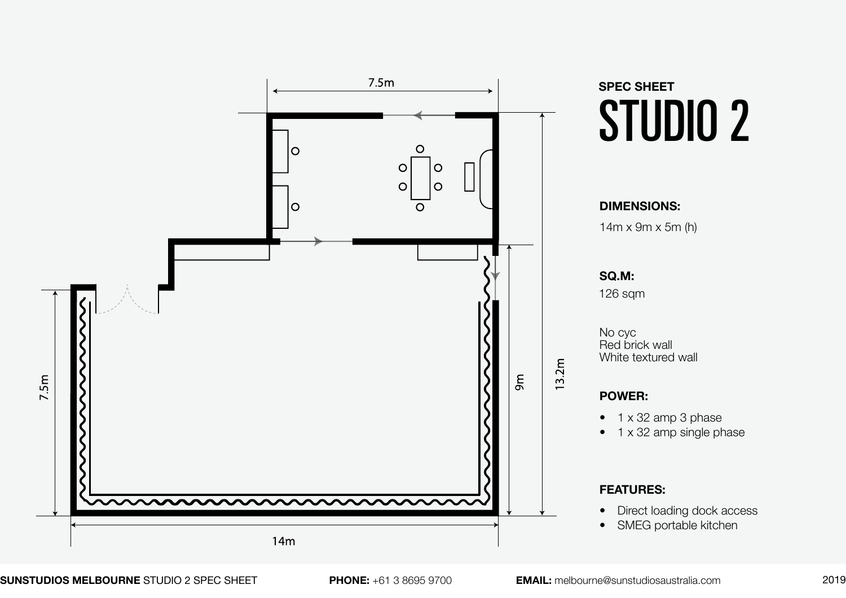

**SUNSTUDIOS MELBOURNE** STUDIO 2 SPEC SHEET **PHONE:** +61 3 8695 9700 **EMAIL:** melbourne@sunstudiosaustralia.com 2019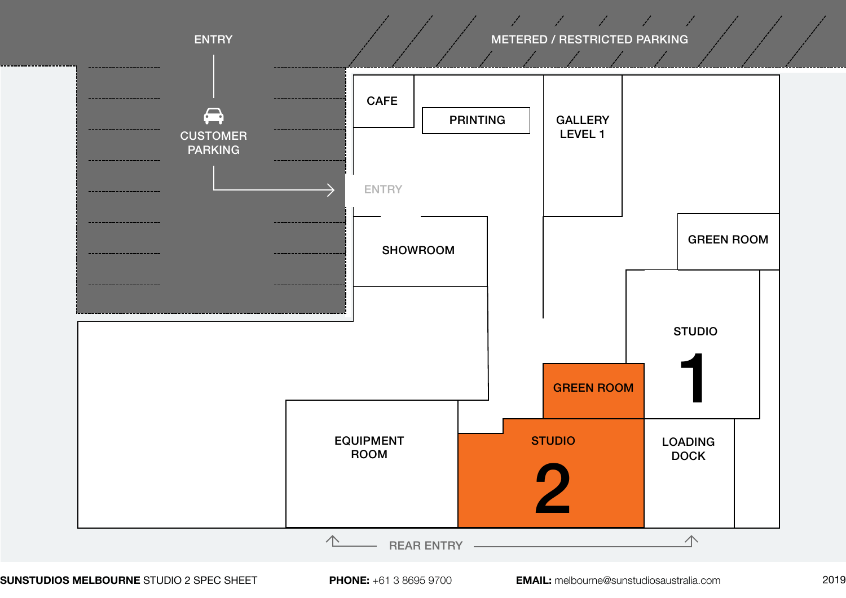